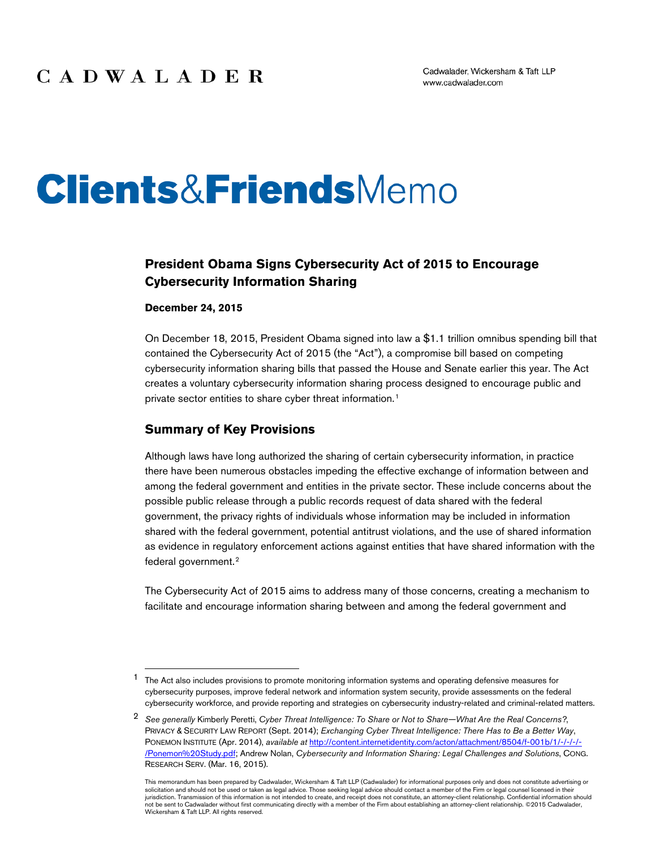# **Clients&FriendsMemo**

### **President Obama Signs Cybersecurity Act of 2015 to Encourage Cybersecurity Information Sharing**

#### **December 24, 2015**

On December 18, 2015, President Obama signed into law a \$1.1 trillion omnibus spending bill that contained the Cybersecurity Act of 2015 (the "Act"), a compromise bill based on competing cybersecurity information sharing bills that passed the House and Senate earlier this year. The Act creates a voluntary cybersecurity information sharing process designed to encourage public and private sector entities to share cyber threat information.<sup>[1](#page-0-0)</sup>

#### **Summary of Key Provisions**

Although laws have long authorized the sharing of certain cybersecurity information, in practice there have been numerous obstacles impeding the effective exchange of information between and among the federal government and entities in the private sector. These include concerns about the possible public release through a public records request of data shared with the federal government, the privacy rights of individuals whose information may be included in information shared with the federal government, potential antitrust violations, and the use of shared information as evidence in regulatory enforcement actions against entities that have shared information with the federal government.[2](#page-0-1)

The Cybersecurity Act of 2015 aims to address many of those concerns, creating a mechanism to facilitate and encourage information sharing between and among the federal government and

<span id="page-0-0"></span><sup>&</sup>lt;sup>1</sup> The Act also includes provisions to promote monitoring information systems and operating defensive measures for cybersecurity purposes, improve federal network and information system security, provide assessments on the federal cybersecurity workforce, and provide reporting and strategies on cybersecurity industry-related and criminal-related matters.

<span id="page-0-1"></span><sup>2</sup> *See generally* Kimberly Peretti, *Cyber Threat Intelligence: To Share or Not to Share—What Are the Real Concerns?*, PRIVACY & SECURITY LAW REPORT (Sept. 2014); *Exchanging Cyber Threat Intelligence: There Has to Be a Better Way*, PONEMON INSTITUTE (Apr. 2014), *available at* [http://content.internetidentity.com/acton/attachment/8504/f-001b/1/-/-/-/-](http://content.internetidentity.com/acton/attachment/8504/f-001b/1/-/-/-/-/Ponemon%20Study.pdf) [/Ponemon%20Study.pdf;](http://content.internetidentity.com/acton/attachment/8504/f-001b/1/-/-/-/-/Ponemon%20Study.pdf) Andrew Nolan, *Cybersecurity and Information Sharing: Legal Challenges and Solutions*, CONG. RESEARCH SERV. (Mar. 16, 2015).

This memorandum has been prepared by Cadwalader, Wickersham & Taft LLP (Cadwalader) for informational purposes only and does not constitute advertising or solicitation and should not be used or taken as legal advice. Those seeking legal advice should contact a member of the Firm or legal counsel licensed in their jurisdiction. Transmission of this information is not intended to create, and receipt does not constitute, an attorney-client relationship. Confidential information should not be sent to Cadwalader without first communicating directly with a member of the Firm about establishing an attorney-client relationship. ©2015 Cadwalader, Wickersham & Taft LLP. All rights reserved.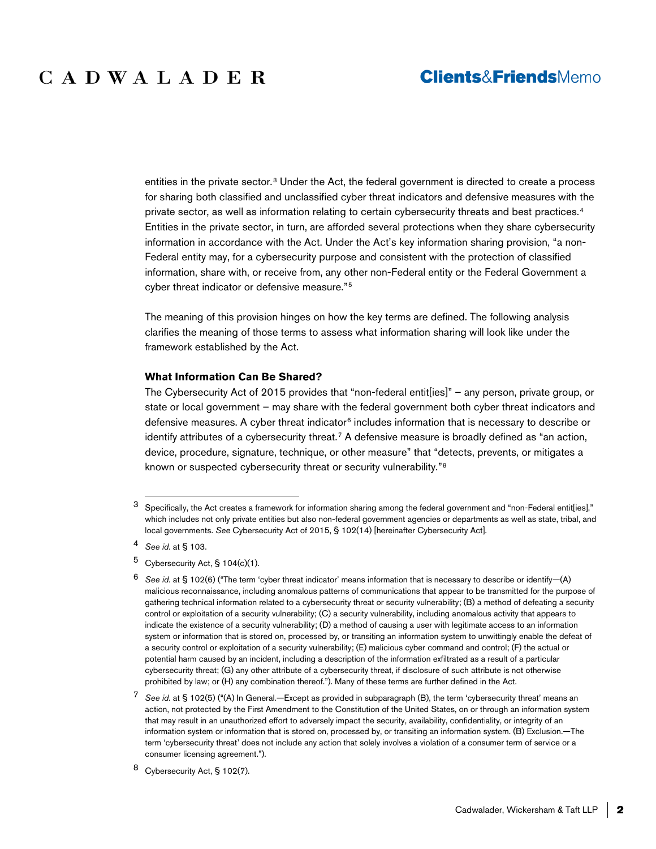### **Clients&FriendsMemo**

entities in the private sector.[3](#page-1-0) Under the Act, the federal government is directed to create a process for sharing both classified and unclassified cyber threat indicators and defensive measures with the private sector, as well as information relating to certain cybersecurity threats and best practices.[4](#page-1-1) Entities in the private sector, in turn, are afforded several protections when they share cybersecurity information in accordance with the Act. Under the Act's key information sharing provision, "a non-Federal entity may, for a cybersecurity purpose and consistent with the protection of classified information, share with, or receive from, any other non-Federal entity or the Federal Government a cyber threat indicator or defensive measure."[5](#page-1-2)

The meaning of this provision hinges on how the key terms are defined. The following analysis clarifies the meaning of those terms to assess what information sharing will look like under the framework established by the Act.

#### **What Information Can Be Shared?**

The Cybersecurity Act of 2015 provides that "non-federal entit[ies]" – any person, private group, or state or local government – may share with the federal government both cyber threat indicators and defensive measures. A cyber threat indicator $6$  includes information that is necessary to describe or identify attributes of a cybersecurity threat. [7](#page-1-4) A defensive measure is broadly defined as "an action, device, procedure, signature, technique, or other measure" that "detects, prevents, or mitigates a known or suspected cybersecurity threat or security vulnerability."[8](#page-1-5)

- <span id="page-1-1"></span>4 *See id.* at § 103.
- <span id="page-1-2"></span>5 Cybersecurity Act,  $\frac{5}{9}$  104(c)(1).

<span id="page-1-0"></span> <sup>3</sup> Specifically, the Act creates a framework for information sharing among the federal government and "non-Federal entit[ies]," which includes not only private entities but also non-federal government agencies or departments as well as state, tribal, and local governments. *See* Cybersecurity Act of 2015, § 102(14) [hereinafter Cybersecurity Act].

<span id="page-1-3"></span><sup>6</sup> *See id.* at § 102(6) ("The term 'cyber threat indicator' means information that is necessary to describe or identify—(A) malicious reconnaissance, including anomalous patterns of communications that appear to be transmitted for the purpose of gathering technical information related to a cybersecurity threat or security vulnerability; (B) a method of defeating a security control or exploitation of a security vulnerability; (C) a security vulnerability, including anomalous activity that appears to indicate the existence of a security vulnerability; (D) a method of causing a user with legitimate access to an information system or information that is stored on, processed by, or transiting an information system to unwittingly enable the defeat of a security control or exploitation of a security vulnerability; (E) malicious cyber command and control; (F) the actual or potential harm caused by an incident, including a description of the information exfiltrated as a result of a particular cybersecurity threat; (G) any other attribute of a cybersecurity threat, if disclosure of such attribute is not otherwise prohibited by law; or (H) any combination thereof."). Many of these terms are further defined in the Act.

<span id="page-1-4"></span><sup>7</sup> *See id.* at § 102(5) ("(A) In General.—Except as provided in subparagraph (B), the term 'cybersecurity threat' means an action, not protected by the First Amendment to the Constitution of the United States, on or through an information system that may result in an unauthorized effort to adversely impact the security, availability, confidentiality, or integrity of an information system or information that is stored on, processed by, or transiting an information system. (B) Exclusion.—The term 'cybersecurity threat' does not include any action that solely involves a violation of a consumer term of service or a consumer licensing agreement.").

<span id="page-1-5"></span><sup>8</sup> Cybersecurity Act, § 102(7).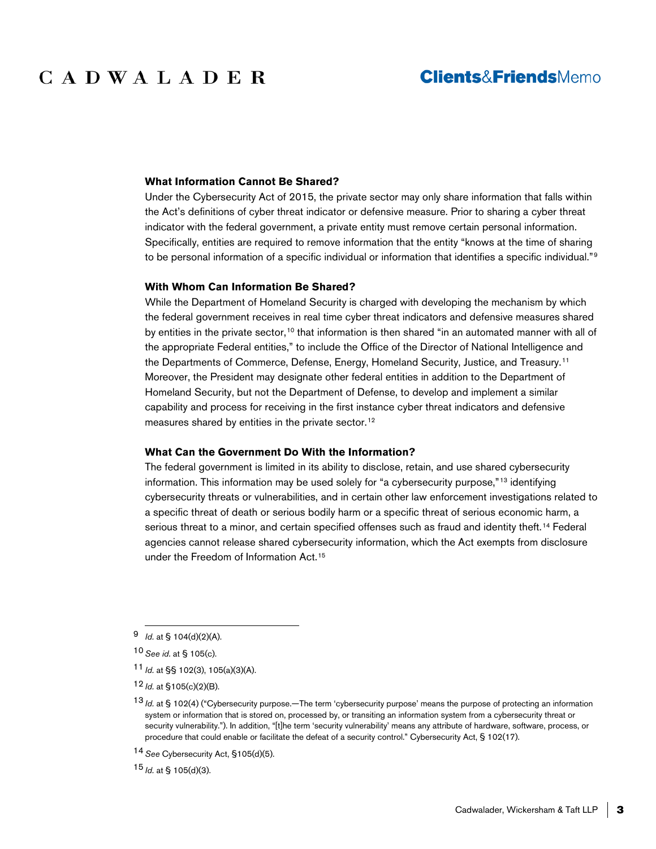### **Clients&FriendsMemo**

#### **What Information Cannot Be Shared?**

Under the Cybersecurity Act of 2015, the private sector may only share information that falls within the Act's definitions of cyber threat indicator or defensive measure. Prior to sharing a cyber threat indicator with the federal government, a private entity must remove certain personal information. Specifically, entities are required to remove information that the entity "knows at the time of sharing to be personal information of a specific individual or information that identifies a specific individual."<sup>[9](#page-2-0)</sup>

#### **With Whom Can Information Be Shared?**

While the Department of Homeland Security is charged with developing the mechanism by which the federal government receives in real time cyber threat indicators and defensive measures shared by entities in the private sector,<sup>[10](#page-2-1)</sup> that information is then shared "in an automated manner with all of the appropriate Federal entities," to include the Office of the Director of National Intelligence and the Departments of Commerce, Defense, Energy, Homeland Security, Justice, and Treasury.[11](#page-2-2) Moreover, the President may designate other federal entities in addition to the Department of Homeland Security, but not the Department of Defense, to develop and implement a similar capability and process for receiving in the first instance cyber threat indicators and defensive measures shared by entities in the private sector.<sup>[12](#page-2-3)</sup>

#### **What Can the Government Do With the Information?**

The federal government is limited in its ability to disclose, retain, and use shared cybersecurity information. This information may be used solely for "a cybersecurity purpose,"<sup>[13](#page-2-4)</sup> identifying cybersecurity threats or vulnerabilities, and in certain other law enforcement investigations related to a specific threat of death or serious bodily harm or a specific threat of serious economic harm, a serious threat to a minor, and certain specified offenses such as fraud and identity theft.[14](#page-2-5) Federal agencies cannot release shared cybersecurity information, which the Act exempts from disclosure under the Freedom of Information Act.[15](#page-2-6)

<span id="page-2-0"></span> <sup>9</sup> *Id.* at § 104(d)(2)(A).

<span id="page-2-1"></span><sup>10</sup> *See id.* at § 105(c).

<span id="page-2-2"></span><sup>11</sup> *Id.* at §§ 102(3), 105(a)(3)(A).

<span id="page-2-3"></span><sup>12</sup> *Id.* at §105(c)(2)(B).

<span id="page-2-4"></span><sup>13</sup> *Id.* at § 102(4) ("Cybersecurity purpose.—The term 'cybersecurity purpose' means the purpose of protecting an information system or information that is stored on, processed by, or transiting an information system from a cybersecurity threat or security vulnerability."). In addition, "[t]he term 'security vulnerability' means any attribute of hardware, software, process, or procedure that could enable or facilitate the defeat of a security control." Cybersecurity Act, § 102(17).

<span id="page-2-5"></span><sup>14</sup> *See* Cybersecurity Act, §105(d)(5).

<span id="page-2-6"></span><sup>15</sup> *Id.* at § 105(d)(3).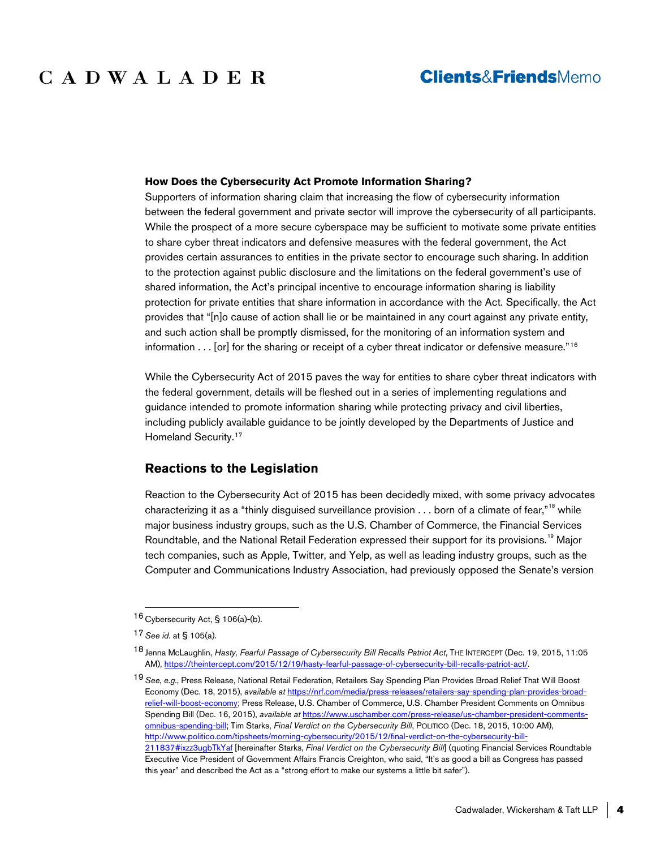### **Clients&FriendsMemo**

#### **How Does the Cybersecurity Act Promote Information Sharing?**

Supporters of information sharing claim that increasing the flow of cybersecurity information between the federal government and private sector will improve the cybersecurity of all participants. While the prospect of a more secure cyberspace may be sufficient to motivate some private entities to share cyber threat indicators and defensive measures with the federal government, the Act provides certain assurances to entities in the private sector to encourage such sharing. In addition to the protection against public disclosure and the limitations on the federal government's use of shared information, the Act's principal incentive to encourage information sharing is liability protection for private entities that share information in accordance with the Act. Specifically, the Act provides that "[n]o cause of action shall lie or be maintained in any court against any private entity, and such action shall be promptly dismissed, for the monitoring of an information system and information . . . [or] for the sharing or receipt of a cyber threat indicator or defensive measure."[16](#page-3-0)

While the Cybersecurity Act of 2015 paves the way for entities to share cyber threat indicators with the federal government, details will be fleshed out in a series of implementing regulations and guidance intended to promote information sharing while protecting privacy and civil liberties, including publicly available guidance to be jointly developed by the Departments of Justice and Homeland Security.[17](#page-3-1)

#### **Reactions to the Legislation**

Reaction to the Cybersecurity Act of 2015 has been decidedly mixed, with some privacy advocates characterizing it as a "thinly disguised surveillance provision . . . born of a climate of fear,"<sup>[18](#page-3-2)</sup> while major business industry groups, such as the U.S. Chamber of Commerce, the Financial Services Roundtable, and the National Retail Federation expressed their support for its provisions.[19](#page-3-3) Major tech companies, such as Apple, Twitter, and Yelp, as well as leading industry groups, such as the Computer and Communications Industry Association, had previously opposed the Senate's version

<span id="page-3-0"></span> <sup>16</sup> Cybersecurity Act, § 106(a)-(b).

<span id="page-3-1"></span><sup>17</sup> *See id.* at § 105(a).

<span id="page-3-2"></span><sup>18</sup> Jenna McLaughlin, *Hasty, Fearful Passage of Cybersecurity Bill Recalls Patriot Act*, THE INTERCEPT (Dec. 19, 2015, 11:05 AM)[, https://theintercept.com/2015/12/19/hasty-fearful-passage-of-cybersecurity-bill-recalls-patriot-act/.](https://theintercept.com/2015/12/19/hasty-fearful-passage-of-cybersecurity-bill-recalls-patriot-act/)

<span id="page-3-3"></span><sup>19</sup> *See*, *e.g.*, Press Release, National Retail Federation, Retailers Say Spending Plan Provides Broad Relief That Will Boost Economy (Dec. 18, 2015), *available at* [https://nrf.com/media/press-releases/retailers-say-spending-plan-provides-broad](https://nrf.com/media/press-releases/retailers-say-spending-plan-provides-broad-relief-will-boost-economy)[relief-will-boost-economy;](https://nrf.com/media/press-releases/retailers-say-spending-plan-provides-broad-relief-will-boost-economy) Press Release, U.S. Chamber of Commerce, U.S. Chamber President Comments on Omnibus Spending Bill (Dec. 16, 2015), *available at* [https://www.uschamber.com/press-release/us-chamber-president-comments](https://www.uschamber.com/press-release/us-chamber-president-comments-omnibus-spending-bill)[omnibus-spending-bill;](https://www.uschamber.com/press-release/us-chamber-president-comments-omnibus-spending-bill) Tim Starks, *Final Verdict on the Cybersecurity Bill*, POLITICO (Dec. 18, 2015, 10:00 AM), [http://www.politico.com/tipsheets/morning-cybersecurity/2015/12/final-verdict-on-the-cybersecurity-bill-](http://www.politico.com/tipsheets/morning-cybersecurity/2015/12/final-verdict-on-the-cybersecurity-bill-211837#ixzz3ugbTkYaf)[211837#ixzz3ugbTkYaf](http://www.politico.com/tipsheets/morning-cybersecurity/2015/12/final-verdict-on-the-cybersecurity-bill-211837#ixzz3ugbTkYaf) [hereinafter Starks, *Final Verdict on the Cybersecurity Bill*] (quoting Financial Services Roundtable Executive Vice President of Government Affairs Francis Creighton, who said, "It's as good a bill as Congress has passed this year" and described the Act as a "strong effort to make our systems a little bit safer").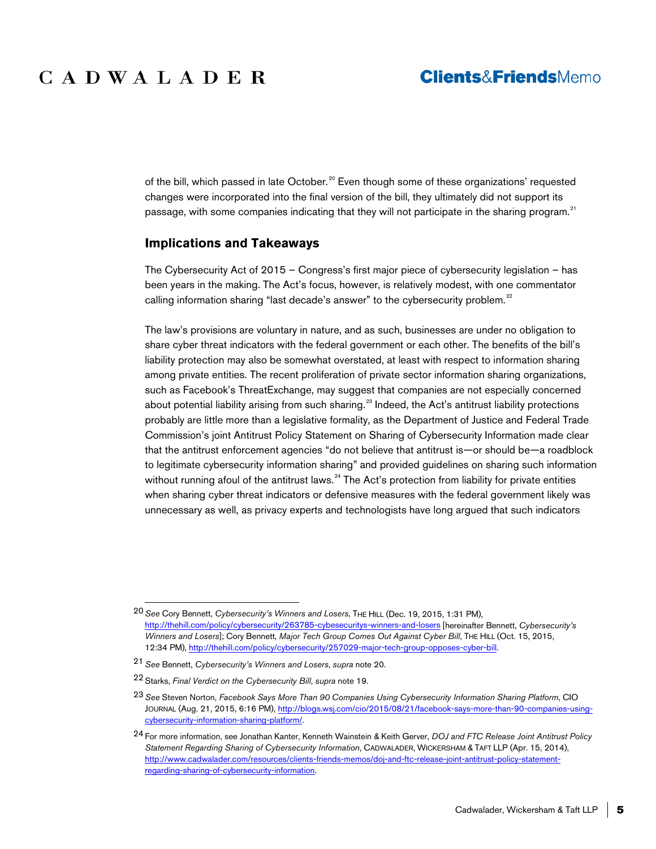### **Clients&FriendsMemo**

of the bill, which passed in late October.<sup>[20](#page-4-0)</sup> Even though some of these organizations' requested changes were incorporated into the final version of the bill, they ultimately did not support its passage, with some companies indicating that they will not participate in the sharing program.<sup>[21](#page-4-1)</sup>

#### **Implications and Takeaways**

The Cybersecurity Act of 2015 – Congress's first major piece of cybersecurity legislation – has been years in the making. The Act's focus, however, is relatively modest, with one commentator calling information sharing "last decade's answer" to the cybersecurity problem.<sup>[22](#page-4-2)</sup>

The law's provisions are voluntary in nature, and as such, businesses are under no obligation to share cyber threat indicators with the federal government or each other. The benefits of the bill's liability protection may also be somewhat overstated, at least with respect to information sharing among private entities. The recent proliferation of private sector information sharing organizations, such as Facebook's ThreatExchange, may suggest that companies are not especially concerned about potential liability arising from such sharing.<sup>[23](#page-4-3)</sup> Indeed, the Act's antitrust liability protections probably are little more than a legislative formality, as the Department of Justice and Federal Trade Commission's joint Antitrust Policy Statement on Sharing of Cybersecurity Information made clear that the antitrust enforcement agencies "do not believe that antitrust is—or should be—a roadblock to legitimate cybersecurity information sharing" and provided guidelines on sharing such information without running afoul of the antitrust laws.<sup>[24](#page-4-4)</sup> The Act's protection from liability for private entities when sharing cyber threat indicators or defensive measures with the federal government likely was unnecessary as well, as privacy experts and technologists have long argued that such indicators

<span id="page-4-0"></span> <sup>20</sup> *See* Cory Bennett, *Cybersecurity's Winners and Losers*, THE HILL (Dec. 19, 2015, 1:31 PM), <http://thehill.com/policy/cybersecurity/263785-cybesecuritys-winners-and-losers> [hereinafter Bennett, *Cybersecurity's Winners and Losers*]; Cory Bennett, *Major Tech Group Comes Out Against Cyber Bill*, THE HILL (Oct. 15, 2015, 12:34 PM)[, http://thehill.com/policy/cybersecurity/257029-major-tech-group-opposes-cyber-bill.](http://thehill.com/policy/cybersecurity/257029-major-tech-group-opposes-cyber-bill)

<span id="page-4-1"></span><sup>21</sup> *See* Bennett, *Cybersecurity's Winners and Losers*, *supra* note 20.

<span id="page-4-2"></span><sup>22</sup> Starks, *Final Verdict on the Cybersecurity Bill*, *supra* note 19.

<span id="page-4-3"></span><sup>23</sup> *See* Steven Norton, *Facebook Says More Than 90 Companies Using Cybersecurity Information Sharing Platform*, CIO JOURNAL (Aug. 21, 2015, 6:16 PM)[, http://blogs.wsj.com/cio/2015/08/21/facebook-says-more-than-90-companies-using](http://blogs.wsj.com/cio/2015/08/21/facebook-says-more-than-90-companies-using-cybersecurity-information-sharing-platform/)[cybersecurity-information-sharing-platform/.](http://blogs.wsj.com/cio/2015/08/21/facebook-says-more-than-90-companies-using-cybersecurity-information-sharing-platform/)

<span id="page-4-4"></span><sup>24</sup> For more information, see Jonathan Kanter, Kenneth Wainstein & Keith Gerver, *DOJ and FTC Release Joint Antitrust Policy Statement Regarding Sharing of Cybersecurity Information*, CADWALADER, WICKERSHAM & TAFT LLP (Apr. 15, 2014), [http://www.cadwalader.com/resources/clients-friends-memos/doj-and-ftc-release-joint-antitrust-policy-statement](http://www.cadwalader.com/resources/clients-friends-memos/doj-and-ftc-release-joint-antitrust-policy-statement-regarding-sharing-of-cybersecurity-information)[regarding-sharing-of-cybersecurity-information.](http://www.cadwalader.com/resources/clients-friends-memos/doj-and-ftc-release-joint-antitrust-policy-statement-regarding-sharing-of-cybersecurity-information)